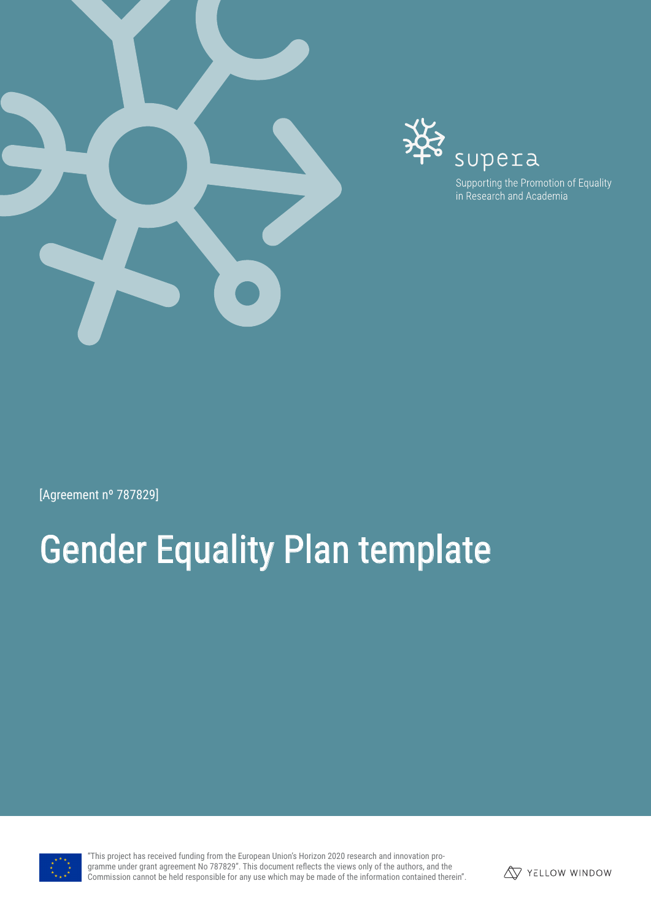



[Agreement nº 787829]

# Gender Equality Plan template



"This project has received funding from the European Union's Horizon 2020 research and innovation programme under grant agreement No 787829". This document reflects the views only of the authors, and the Commission cannot be held responsible for any use which may be made of the information contained therein".

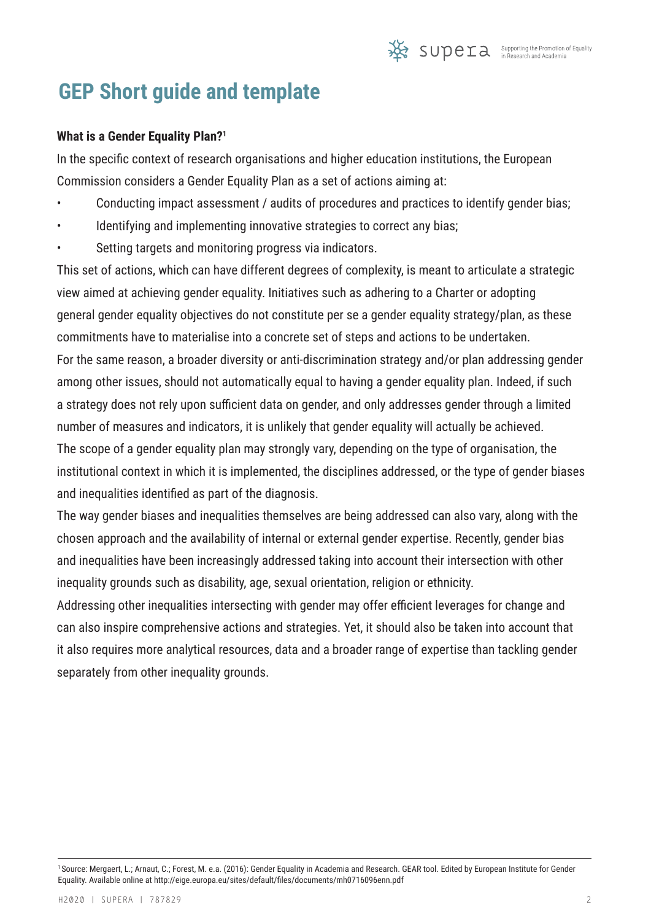## **GEP Short guide and template**

#### **What is a Gender Equality Plan?1**

In the specific context of research organisations and higher education institutions, the European Commission considers a Gender Equality Plan as a set of actions aiming at:

- Conducting impact assessment / audits of procedures and practices to identify gender bias;
- Identifying and implementing innovative strategies to correct any bias;
- Setting targets and monitoring progress via indicators.

This set of actions, which can have different degrees of complexity, is meant to articulate a strategic view aimed at achieving gender equality. Initiatives such as adhering to a Charter or adopting general gender equality objectives do not constitute per se a gender equality strategy/plan, as these commitments have to materialise into a concrete set of steps and actions to be undertaken. For the same reason, a broader diversity or anti-discrimination strategy and/or plan addressing gender among other issues, should not automatically equal to having a gender equality plan. Indeed, if such a strategy does not rely upon sufficient data on gender, and only addresses gender through a limited number of measures and indicators, it is unlikely that gender equality will actually be achieved. The scope of a gender equality plan may strongly vary, depending on the type of organisation, the institutional context in which it is implemented, the disciplines addressed, or the type of gender biases and inequalities identified as part of the diagnosis.

The way gender biases and inequalities themselves are being addressed can also vary, along with the chosen approach and the availability of internal or external gender expertise. Recently, gender bias and inequalities have been increasingly addressed taking into account their intersection with other inequality grounds such as disability, age, sexual orientation, religion or ethnicity.

Addressing other inequalities intersecting with gender may offer efficient leverages for change and can also inspire comprehensive actions and strategies. Yet, it should also be taken into account that it also requires more analytical resources, data and a broader range of expertise than tackling gender separately from other inequality grounds.

<sup>1</sup>Source: Mergaert, L.; Arnaut, C.; Forest, M. e.a. (2016): Gender Equality in Academia and Research. GEAR tool. Edited by European Institute for Gender Equality. Available online at http://eige.europa.eu/sites/default/files/documents/mh0716096enn.pdf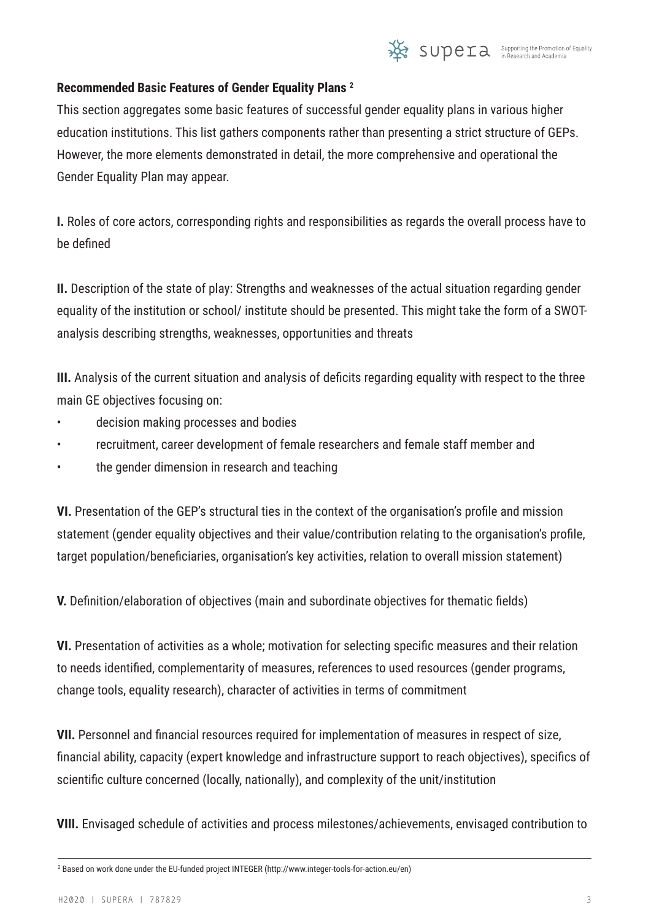

#### **Recommended Basic Features of Gender Equality Plans 2**

This section aggregates some basic features of successful gender equality plans in various higher education institutions. This list gathers components rather than presenting a strict structure of GEPs. However, the more elements demonstrated in detail, the more comprehensive and operational the Gender Equality Plan may appear.

**I.** Roles of core actors, corresponding rights and responsibilities as regards the overall process have to be defined

**II.** Description of the state of play: Strengths and weaknesses of the actual situation regarding gender equality of the institution or school/ institute should be presented. This might take the form of a SWOTanalysis describing strengths, weaknesses, opportunities and threats

**III.** Analysis of the current situation and analysis of deficits regarding equality with respect to the three main GE objectives focusing on:

- decision making processes and bodies
- recruitment, career development of female researchers and female staff member and
- the gender dimension in research and teaching

**VI.** Presentation of the GEP's structural ties in the context of the organisation's profile and mission statement (gender equality objectives and their value/contribution relating to the organisation's profile, target population/beneficiaries, organisation's key activities, relation to overall mission statement)

**V.** Definition/elaboration of objectives (main and subordinate objectives for thematic fields)

**VI.** Presentation of activities as a whole; motivation for selecting specific measures and their relation to needs identified, complementarity of measures, references to used resources (gender programs, change tools, equality research), character of activities in terms of commitment

**VII.** Personnel and financial resources required for implementation of measures in respect of size, financial ability, capacity (expert knowledge and infrastructure support to reach objectives), specifics of scientific culture concerned (locally, nationally), and complexity of the unit/institution

**VIII.** Envisaged schedule of activities and process milestones/achievements, envisaged contribution to

<sup>2</sup> Based on work done under the EU-funded project INTEGER (http://www.integer-tools-for-action.eu/en)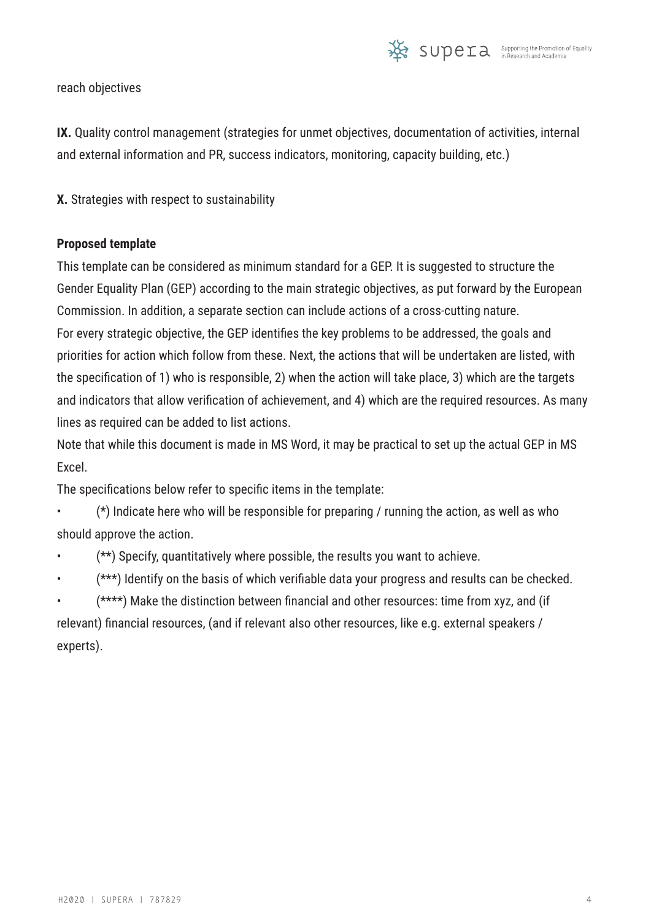

reach objectives

**IX.** Quality control management (strategies for unmet objectives, documentation of activities, internal and external information and PR, success indicators, monitoring, capacity building, etc.)

**X.** Strategies with respect to sustainability

#### **Proposed template**

This template can be considered as minimum standard for a GEP. It is suggested to structure the Gender Equality Plan (GEP) according to the main strategic objectives, as put forward by the European Commission. In addition, a separate section can include actions of a cross-cutting nature. For every strategic objective, the GEP identifies the key problems to be addressed, the goals and priorities for action which follow from these. Next, the actions that will be undertaken are listed, with the specification of 1) who is responsible, 2) when the action will take place, 3) which are the targets and indicators that allow verification of achievement, and 4) which are the required resources. As many lines as required can be added to list actions.

Note that while this document is made in MS Word, it may be practical to set up the actual GEP in MS Excel.

The specifications below refer to specific items in the template:

 $(*)$  Indicate here who will be responsible for preparing / running the action, as well as who should approve the action.

(\*\*) Specify, quantitatively where possible, the results you want to achieve.

(\*\*\*) Identify on the basis of which verifiable data your progress and results can be checked.

• (\*\*\*\*) Make the distinction between financial and other resources: time from xyz, and (if relevant) financial resources, (and if relevant also other resources, like e.g. external speakers / experts).